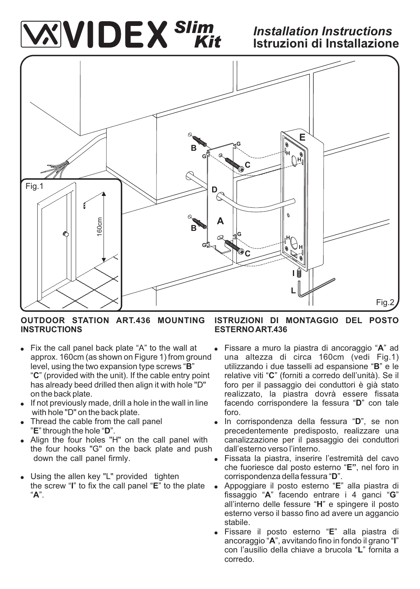# *Slim Kit*

# *Installation Instructions* **Istruzioni di Installazione**



## **OUTDOOR STATION ART.436 MOUNTING INSTRUCTIONS**

- Fix the call panel back plate "A" to the wall at approx. 160cm (as shown on Figure 1) from ground level, using the two expansion type screws "**B**" "**C**" (provided with the unit). If the cable entry point has already beed drilled then align it with hole "D" on the back plate.
- If not previously made, drill a hole in the wall in line with hole "D" on the back plate.
- Thread the cable from the call panel "**E**" through the hole "**D**".
- Align the four holes "H" on the call panel with the four hooks "G" on the back plate and push down the call panel firmly.
- Using the allen key "L" provided tighten the screw "**I**" to fix the call panel "**E**" to the plate "**A**".

## **ISTRUZIONI DI MONTAGGIO DEL POSTO ESTERNO ART.436**

- ! Fissare a muro la piastra di ancoraggio "**A**" ad una altezza di circa 160cm (vedi Fig.1) utilizzando i due tasselli ad espansione "**B**" e le relative viti "**C**" (forniti a corredo dell'unità). Se il foro per il passaggio dei conduttori è già stato realizzato, la piastra dovrà essere fissata facendo corrispondere la fessura "**D**" con tale foro.
- ! In corrispondenza della fessura "**D**", se non precedentemente predisposto, realizzare una canalizzazione per il passaggio dei conduttori dall'esterno verso l'interno.
- Fissata la piastra, inserire l'estremità del cavo che fuoriesce dal posto esterno "**E"**, nel foro in corrispondenza della fessura "**D**".
- ! Appoggiare il posto esterno "**E**" alla piastra di fissaggio "**A**" facendo entrare i 4 ganci "**G**" all'interno delle fessure "**H**" e spingere il posto esterno verso il basso fino ad avere un aggancio stabile.
- ! Fissare il posto esterno "**E**" alla piastra di ancoraggio "**A**", avvitando fino in fondo il grano "**I**" con l'ausilio della chiave a brucola "**L**" fornita a corredo.